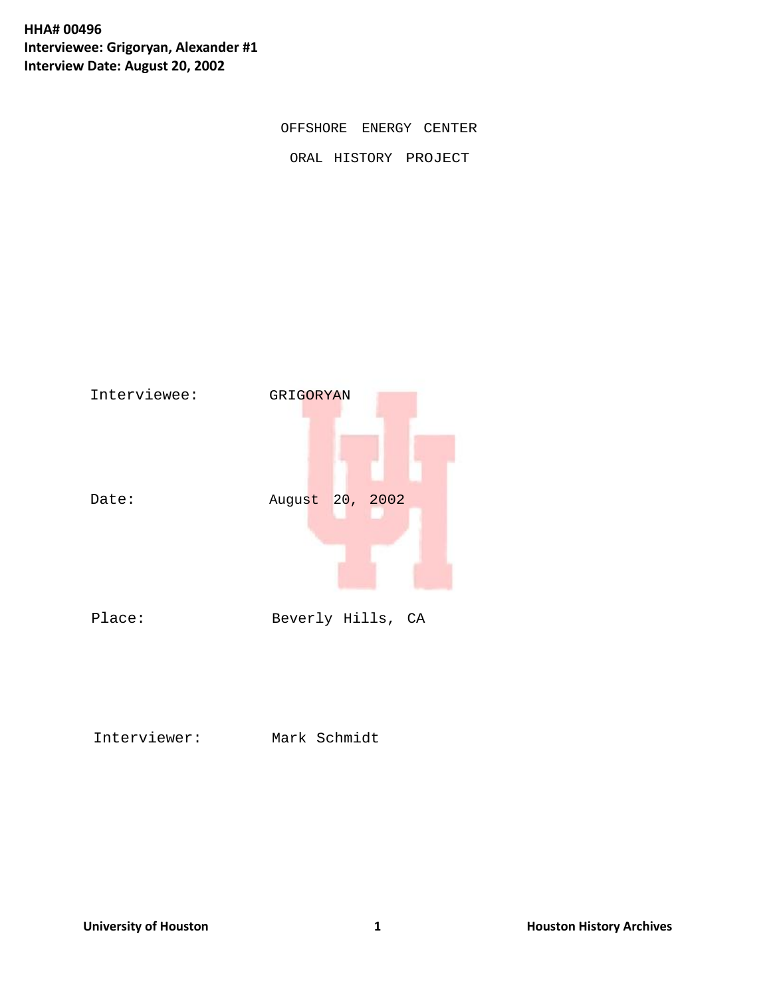**HHA# 00496 Interviewee: Grigoryan, Alexander #1 Interview Date: August 20, 2002**

OFFSHORE ENERGY CENTER

ORAL HISTORY PROJECT



Interviewer: Mark Schmidt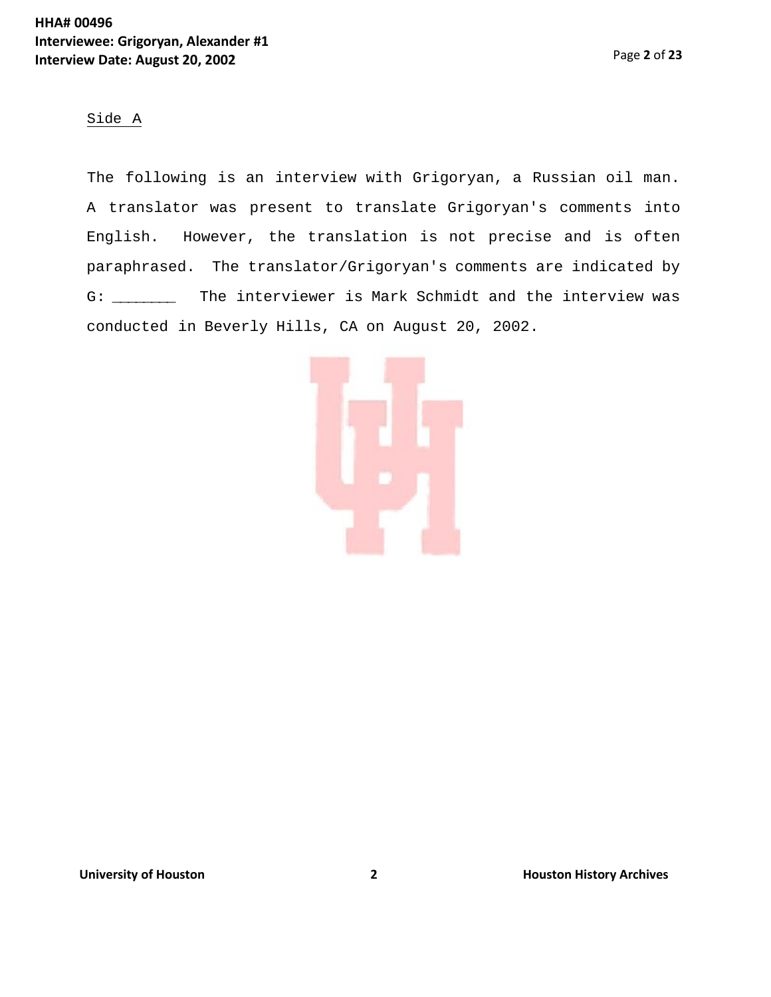#### Side A

The following is an interview with Grigoryan, a Russian oil man. A translator was present to translate Grigoryan's comments into English. However, the translation is not precise and is often paraphrased. The translator/Grigoryan's comments are indicated by G: \_\_\_\_\_\_\_\_ The interviewer is Mark Schmidt and the interview was conducted in Beverly Hills, CA on August 20, 2002.

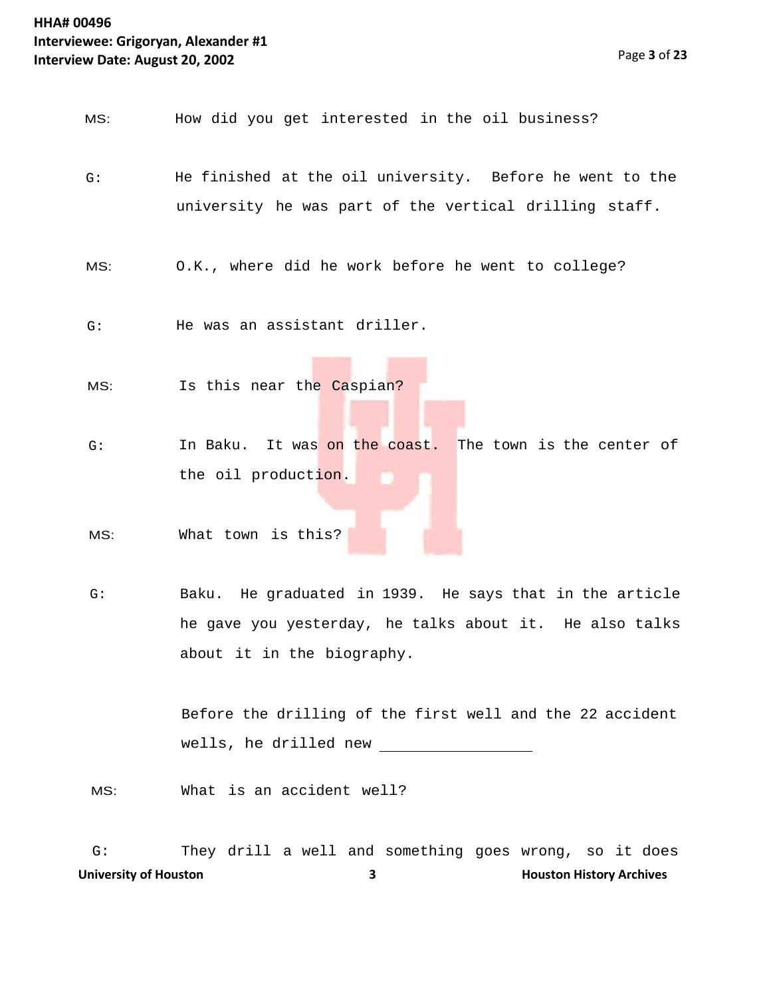MS: How did you get interested in the oil business?

- G: He finished at the oil university. Before he went to the university he was part of the vertical drilling staff.
- MS: O.K., where did he work before he went to college?
- G: He was an assistant driller.
- MS: Is this near the Caspian?
- G: In Baku. It was on the coast. The town is the center of the oil production.
- MS: What town is this?
- G: Baku. He graduated in 1939. He says that in the article he gave you yesterday, he talks about it. He also talks about it in the biography.

Before the drilling of the first well and the 22 accident wells, he drilled new

MS: What is an accident well?

**University of Houston 2008 12 <b>3 Houston History Archives** 3 G: They drill a well and something goes wrong, so it does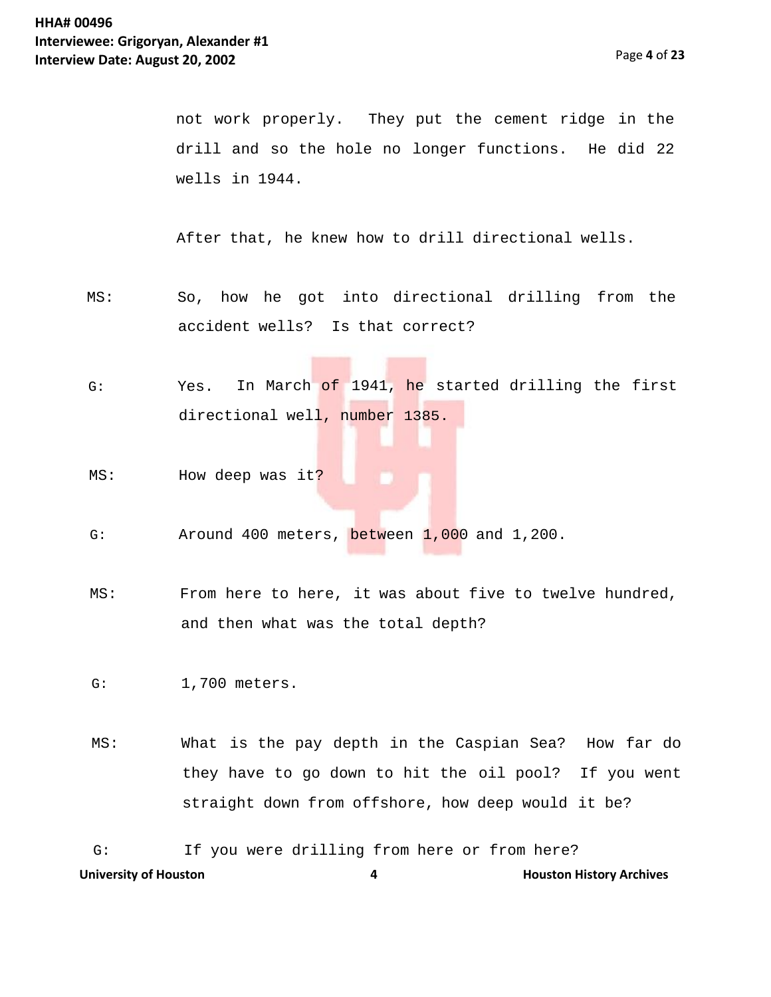not work properly. They put the cement ridge in the drill and so the hole no longer functions. He did 22 wells in 1944.

After that, he knew how to drill directional wells.

- MS: So, how he got into directional drilling from the accident wells? Is that correct?
- G: Yes. In March of 1941, he started drilling the first directional well, number 1385.
- MS: How deep was it?
- G: Around 400 meters, between 1,000 and 1,200.
- MS: From here to here, it was about five to twelve hundred, and then what was the total depth?

G: 1,700 meters.

MS: What is the pay depth in the Caspian Sea? How far do they have to go down to hit the oil pool? If you went straight down from offshore, how deep would it be?

**University of Houston 4 Houston History Archives** G: If you were drilling from here or from here?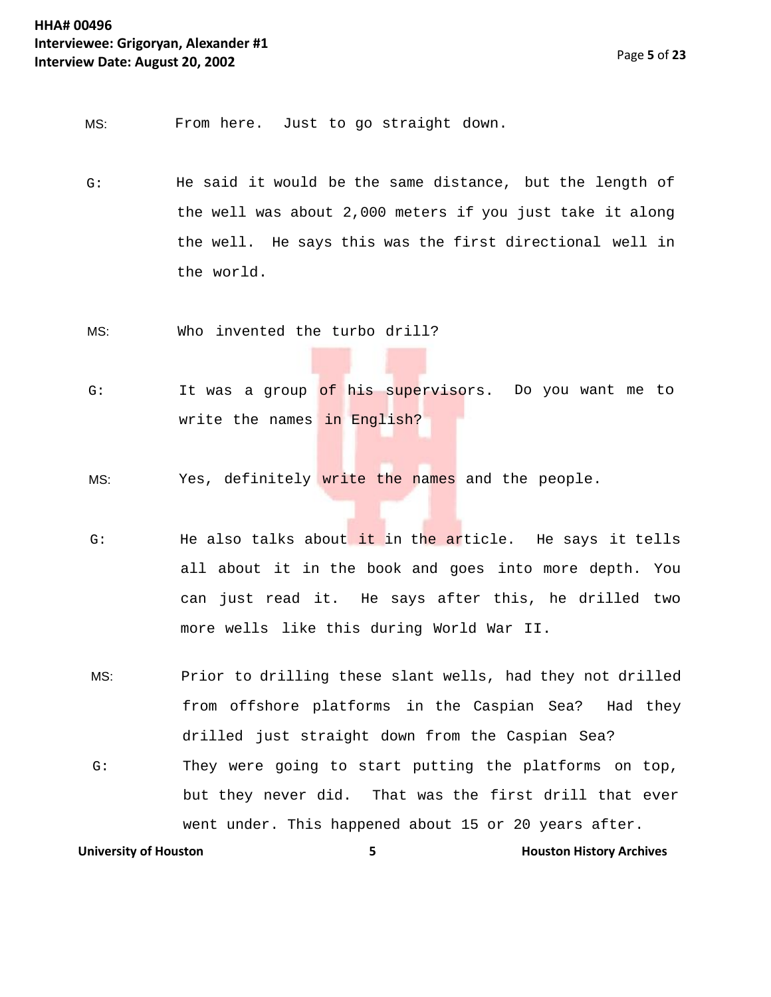MS: From here. Just to go straight down.

- G: He said it would be the same distance, but the length of the well was about 2,000 meters if you just take it along the well. He says this was the first directional well in the world.
- MS: Who invented the turbo drill?
- G: It was a group <mark>of his supervis</mark>ors. Do you want me to write the names in English?
- MS: Yes, definitely write the names and the people.
- G: He also talks about it in the article. He says it tells all about it in the book and goes into more depth. You can just read it. He says after this, he drilled two more wells like this during World War II.
- MS: Prior to drilling these slant wells, had they not drilled from offshore platforms in the Caspian Sea? Had they drilled just straight down from the Caspian Sea? G: They were going to start putting the platforms on top, but they never did. That was the first drill that ever went under. This happened about 15 or 20 years after.

**University of Houston 5 Houston History Archives**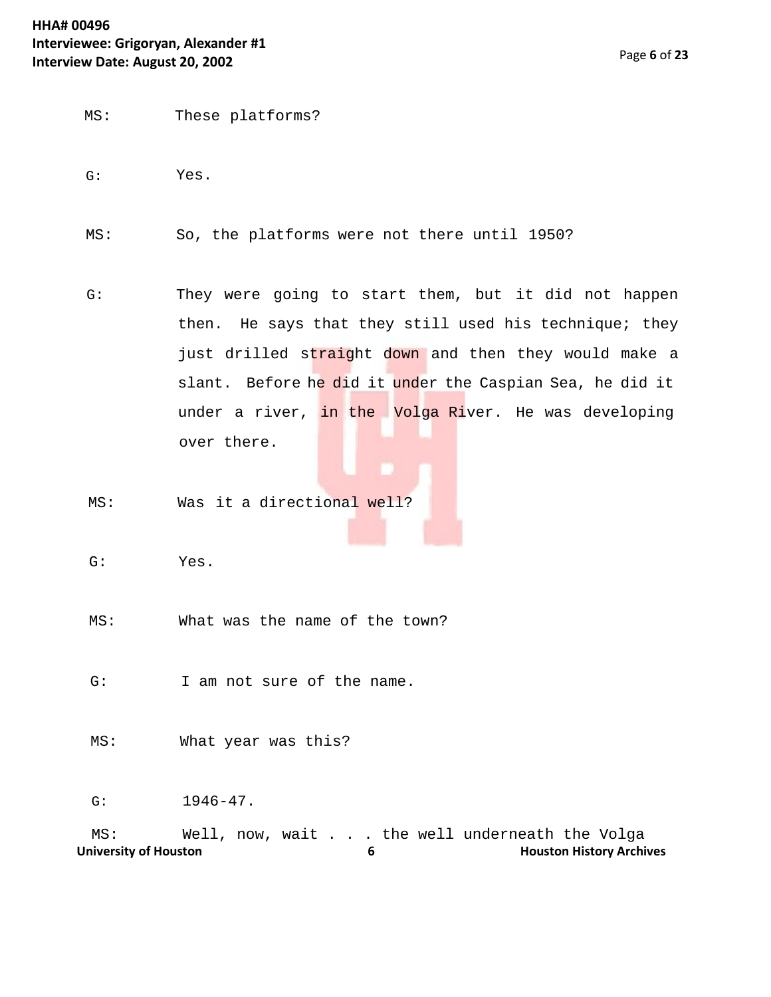#### **HHA# 00496 Interviewee: Grigoryan, Alexander #1 Interview Date: August 20, 2002**

- MS: These platforms?
- G: Yes.
- MS: So, the platforms were not there until 1950?
- G: They were going to start them, but it did not happen then. He says that they still used his technique; they just drilled straight down and then they would make a slant. Before he did it under the Caspian Sea, he did it under a river, in the Volga River. He was developing over there.
- MS: Was it a directional well?
- G: Yes.
- MS: What was the name of the town?
- G: I am not sure of the name.
- MS: What year was this?

G: 1946-47.

University of Houston **Matter Constructs** 6 **Houston History Archives** MS: Well, now, wait . . . the well underneath the Volga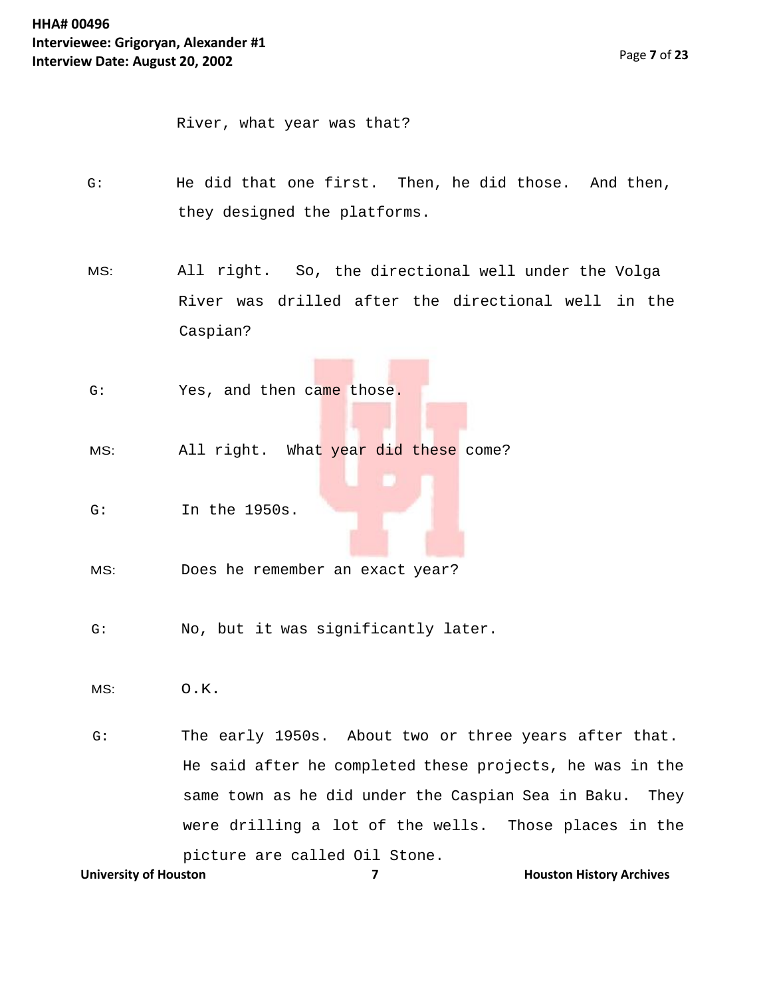River, what year was that?

- G: He did that one first. Then, he did those. And then, they designed the platforms.
- MS: All right. So, the directional well under the Volga River was drilled after the directional well in the Caspian?
- G: Yes, and then came those.
- MS: All right. What year did these come?
- G: In the 1950s.
- MS: Does he remember an exact year?
- G: No, but it was significantly later.
- MS: O.K.

**University of Houston <b>7 Houston 19 Houston History Archives** G: The early 1950s. About two or three years after that. He said after he completed these projects, he was in the same town as he did under the Caspian Sea in Baku. They were drilling a lot of the wells. Those places in the picture are called Oil Stone.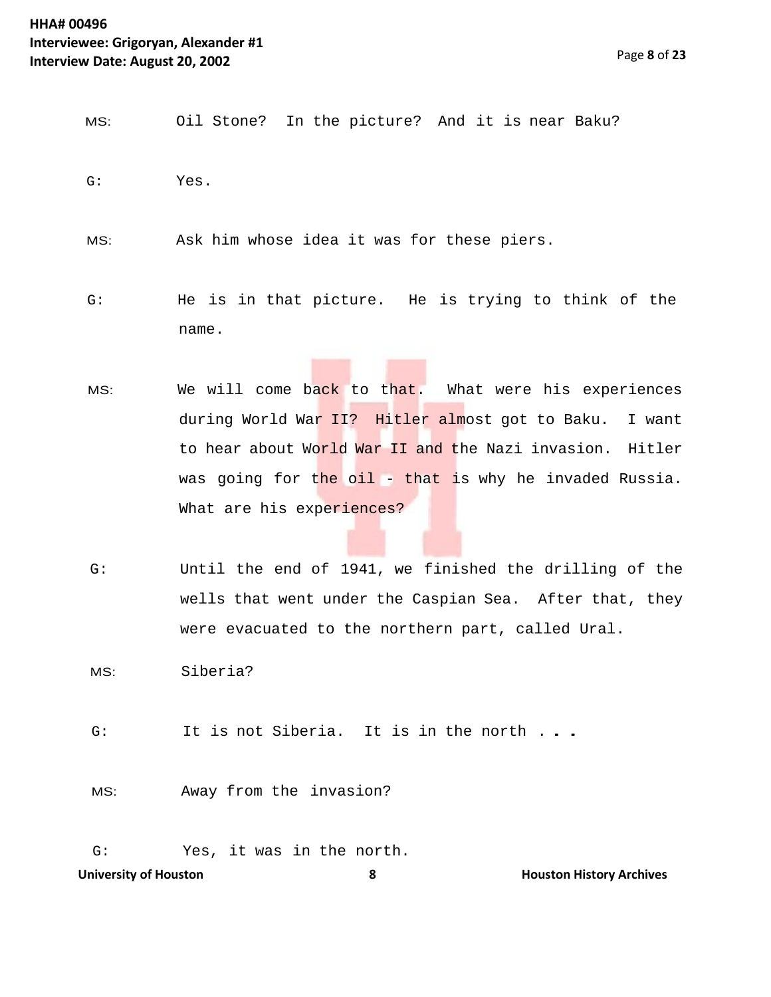- MS: Oil Stone? In the picture? And it is near Baku? G: Yes.
- MS: Ask him whose idea it was for these piers.
- G: He is in that picture. He is trying to think of the name.
- MS: We will come back to that. What were his experiences during World War II? Hitler almost got to Baku. I want to hear about World War II and the Nazi invasion. Hitler was going for the oil - that is why he invaded Russia. What are his experiences?
- G: Until the end of 1941, we finished the drilling of the wells that went under the Caspian Sea. After that, they were evacuated to the northern part, called Ural.

MS: Siberia?

- G: It is not Siberia. It is in the north . . .
- MS: Away from the invasion?
- G: Yes, it was in the north.

**University of Houston <b>8 Houston Example 2 Houston History Archives 8 Houston History Archives**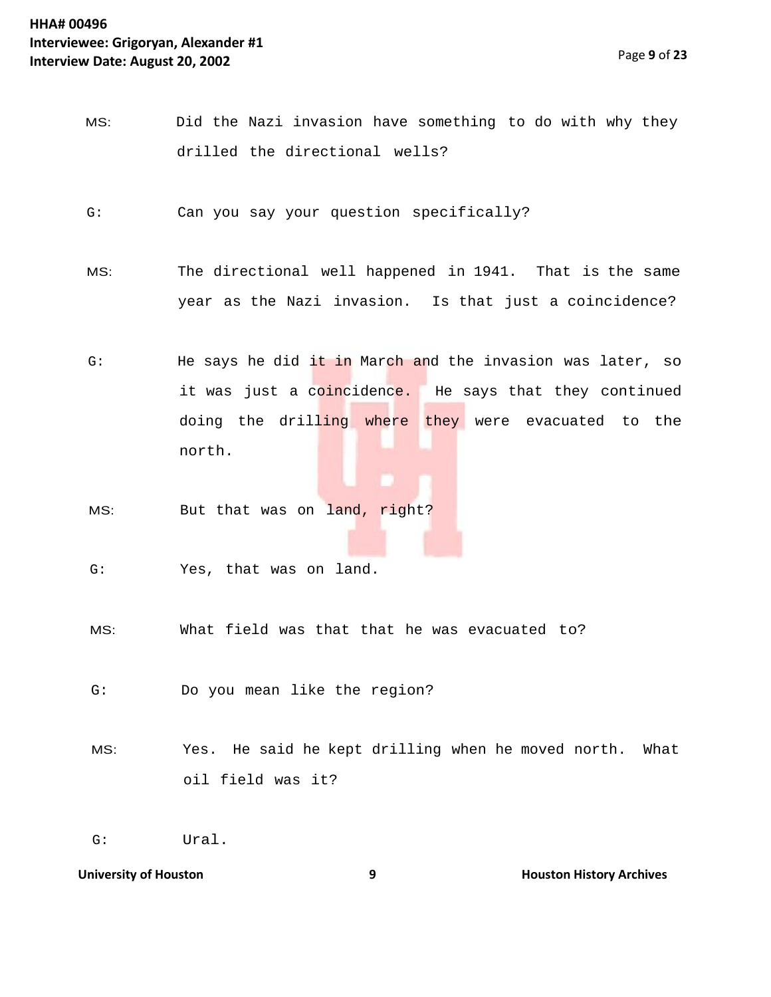- MS: Did the Nazi invasion have something to do with why they drilled the directional wells?
- G: Can you say your question specifically?
- MS: The directional well happened in 1941. That is the same year as the Nazi invasion. Is that just a coincidence?
- G: The says he did it in March and the invasion was later, so it was just a coincidence. He says that they continued doing the drilling where they were evacuated to the north.
- MS: But that was on land, right?
- G: Yes, that was on land.
- MS: What field was that that he was evacuated to?
- G: Do you mean like the region?
- MS: Yes. He said he kept drilling when he moved north. What oil field was it?

G: Ural.

**University of Houston 19 and 19 and 19 and 19 and 19 and 19 and 19 and 19 and 19 and 19 and 19 and 19 and 19 and 19 and 19 and 19 and 19 and 19 and 19 and 19 and 19 and 19 and 19 and 19 and 19 and 19 and 19 and 19 and 19**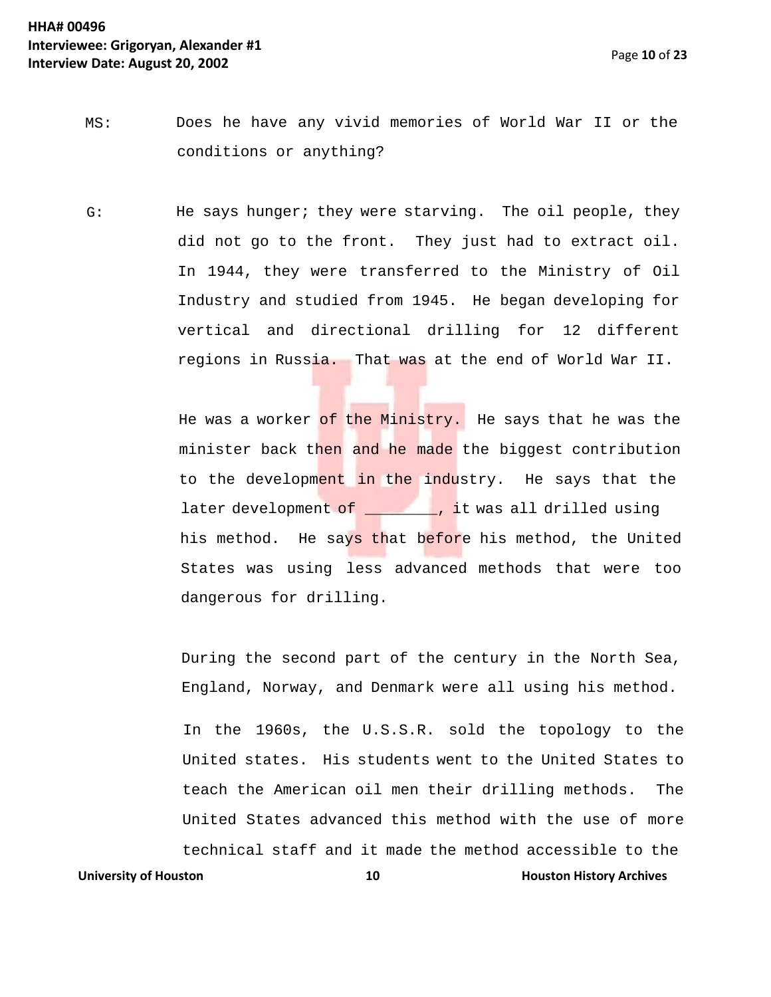- MS: Does he have any vivid memories of World War II or the conditions or anything?
- G: He says hunger; they were starving. The oil people, they did not go to the front. They just had to extract oil. In 1944, they were transferred to the Ministry of Oil Industry and studied from 1945. He began developing for vertical and directional drilling for 12 different regions in Russia. That was at the end of World War II.

He was a worker of the Ministry. He says that he was the minister back then and he made the biggest contribution to the development in the industry. He says that the later development of \_\_\_\_\_\_\_\_, it was all drilled using his method. He says that before his method, the United States was using less advanced methods that were too dangerous for drilling.

During the second part of the century in the North Sea, England, Norway, and Denmark were all using his method.

In the 1960s, the U.S.S.R. sold the topology to the United states. His students went to the United States to teach the American oil men their drilling methods. The United States advanced this method with the use of more technical staff and it made the method accessible to the

**University of Houston 10 Houston 10 Houston History Archives**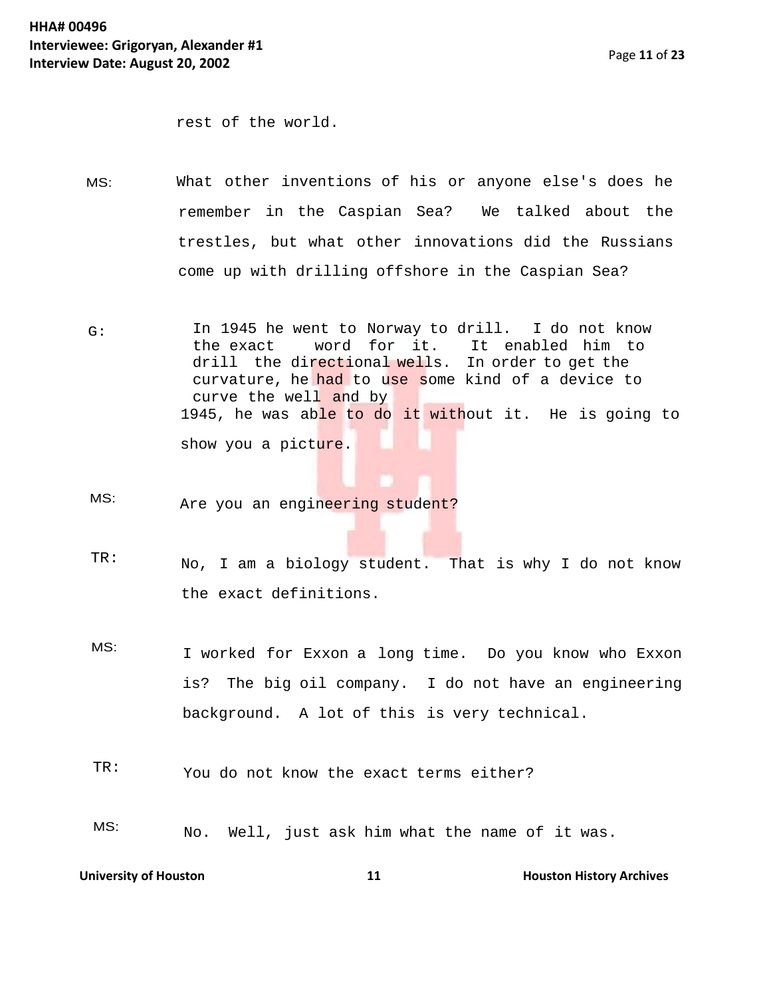rest of the world.

- MS: What other inventions of his or anyone else's does he remember in the Caspian Sea? We talked about the trestles, but what other innovations did the Russians come up with drilling offshore in the Caspian Sea?
- G: In 1945 he went to Norway to drill. I do not know<br>the exact word for it. It enabled him to It enabled him to drill the directional wells. In order to get the curvature, he had to use some kind of a device to curve the well and by 1945, he was able to do it without it. He is going to show you a picture.
- MS: Are you an engineering student?
- TR: No, I am a biology student. That is why I do not know the exact definitions.
- MS: I worked for Exxon a long time. Do you know who Exxon is? The big oil company. I do not have an engineering background. A lot of this is very technical.
- TR: You do not know the exact terms either?
- MS: No. Well, just ask him what the name of it was.

**University of Houston 11 Houston 11 Houston History Archives**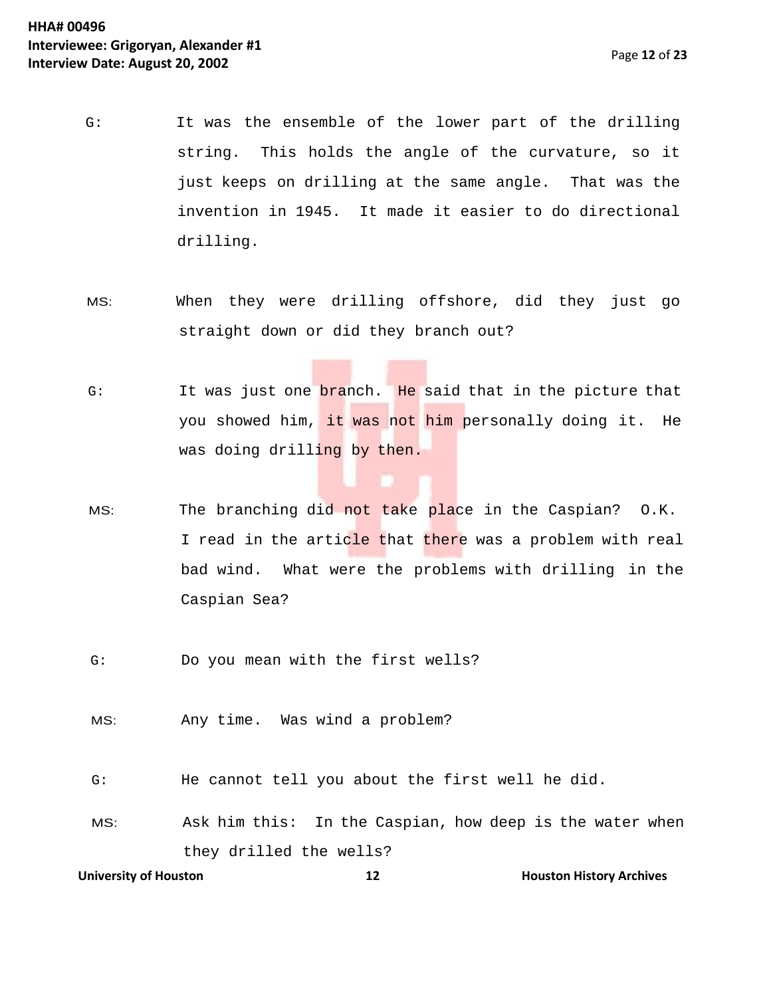- G: It was the ensemble of the lower part of the drilling string. This holds the angle of the curvature, so it just keeps on drilling at the same angle. That was the invention in 1945. It made it easier to do directional drilling.
- MS: When they were drilling offshore, did they just go straight down or did they branch out?
- G: It was just one branch. He said that in the picture that you showed him, it was not him personally doing it. He was doing drilling by then.
- MS: The branching did not take place in the Caspian? O.K. I read in the article that there was a problem with real bad wind. What were the problems with drilling in the Caspian Sea?
- G: Do you mean with the first wells?
- MS: Any time. Was wind a problem?
- G: He cannot tell you about the first well he did.
- MS: Ask him this: In the Caspian, how deep is the water when they drilled the wells?

```
University of Houston 12 Houston History Archives 12 Houston History Archives
```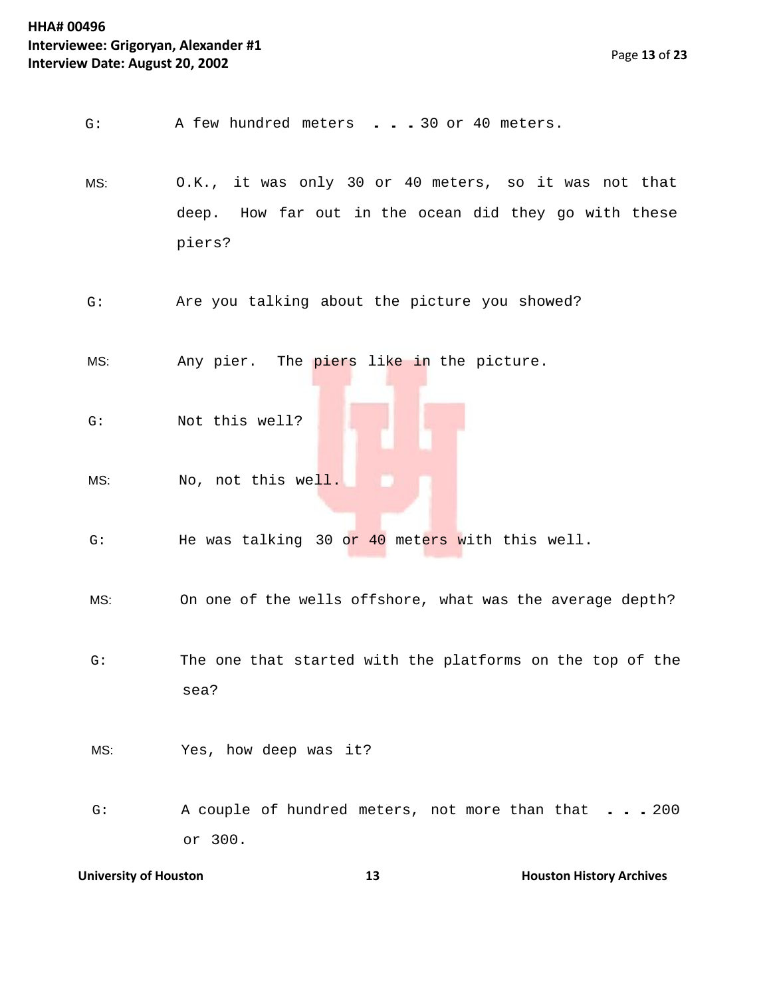- G: <sup>A</sup> few hundred meters ...30 or <sup>40</sup> meters.
- MS: O.K., it was only 30 or 40 meters, so it was not that deep. How far out in the ocean did they go with these piers?
- G: Are you talking about the picture you showed?

MS: Month Any pier. The piers like in the picture.

- G: Not this well?
- MS: No, not this well.
- G: He was talking 30 or 40 meters with this well.
- MS: On one of the wells offshore, what was the average depth?
- G: The one that started with the platforms on the top of the sea?
- MS: Yes, how deep was it?
- G: A couple of hundred meters, not more than that . . . 200 or 300.

```
University of Houston 13 Houston 13 Houston History Archives
```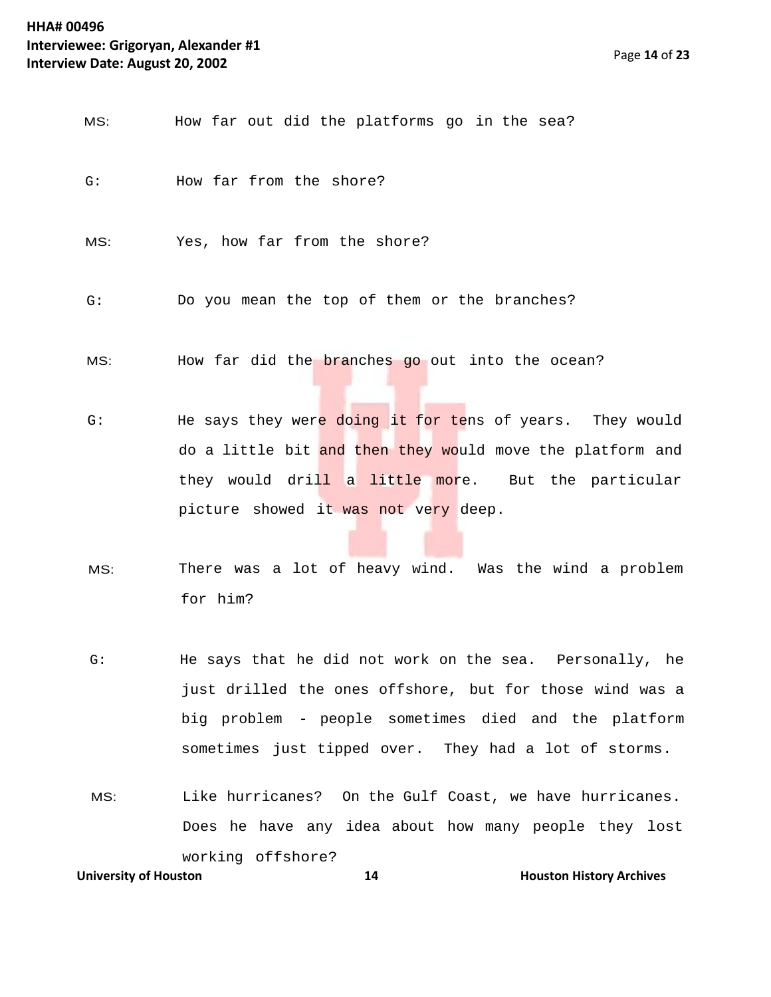| MS:          | How far out did the platforms go in the sea?        |
|--------------|-----------------------------------------------------|
| G:           | How far from the shore?                             |
| MS:          | Yes, how far from the shore?                        |
| G:           | Do you mean the top of them or the branches?        |
| MS:          | How far did the branches go out into the ocean?     |
| $\sim \cdot$ | He cave they were doing it for teng of years<br>ሞh∠ |

- G: The says they were doing it for tens of years. They would do a little bit and then they would move the platform and they would drill a little more. But the particular picture showed it was not very deep.
- MS: There was a lot of heavy wind. Was the wind a problem for him?
- G: He says that he did not work on the sea. Personally, he just drilled the ones offshore, but for those wind was a big problem - people sometimes died and the platform sometimes just tipped over. They had a lot of storms.
- **University of Houston 14 14 Houston History Archives** MS: Like hurricanes? On the Gulf Coast, we have hurricanes. Does he have any idea about how many people they lost working offshore?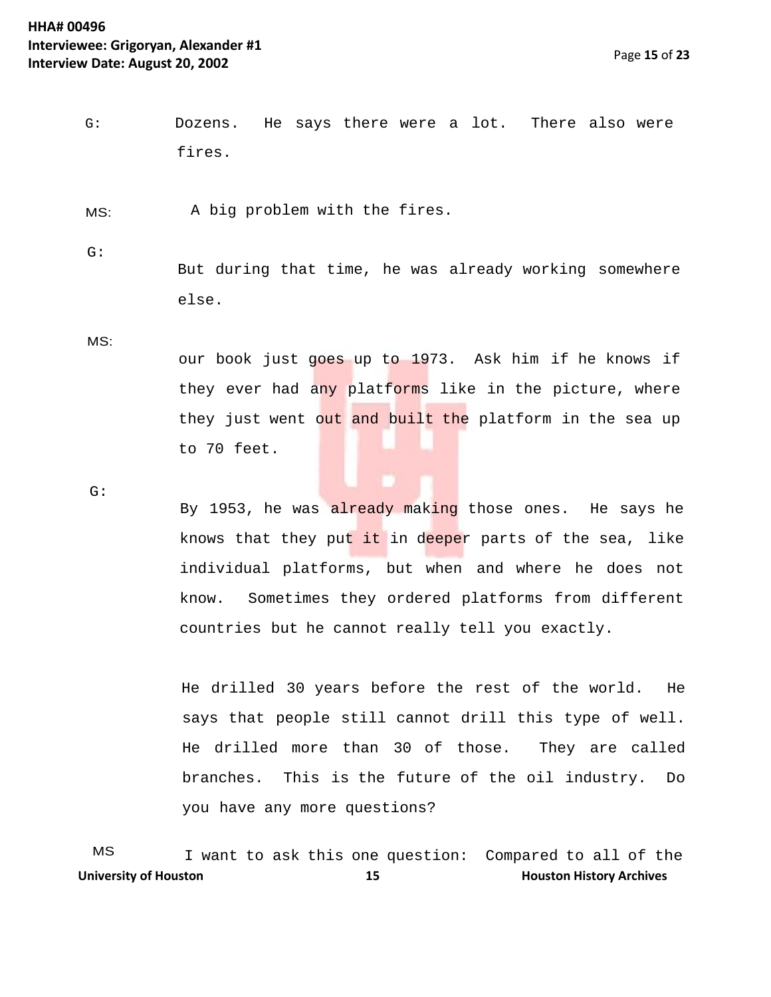G: Dozens. fires. He says there were a lot. There also were

MS: A big problem with the fires.

G:

But during that time, he was already working somewhere else.

MS:

our book just goes up to 1973. Ask him if he knows if they ever had any platforms like in the picture, where they just went out and built the platform in the sea up to 70 feet.

G:

By 1953, he was already making those ones. He says he knows that they put it in deeper parts of the sea, like individual platforms, but when and where he does not know. Sometimes they ordered platforms from different countries but he cannot really tell you exactly.

He drilled 30 years before the rest of the world. He says that people still cannot drill this type of well. He drilled more than 30 of those. They are called branches. This is the future of the oil industry. Do you have any more questions?

**University of Houston 15 Houston 15 Houston History Archives** MS I want to ask this one question: Compared to all of the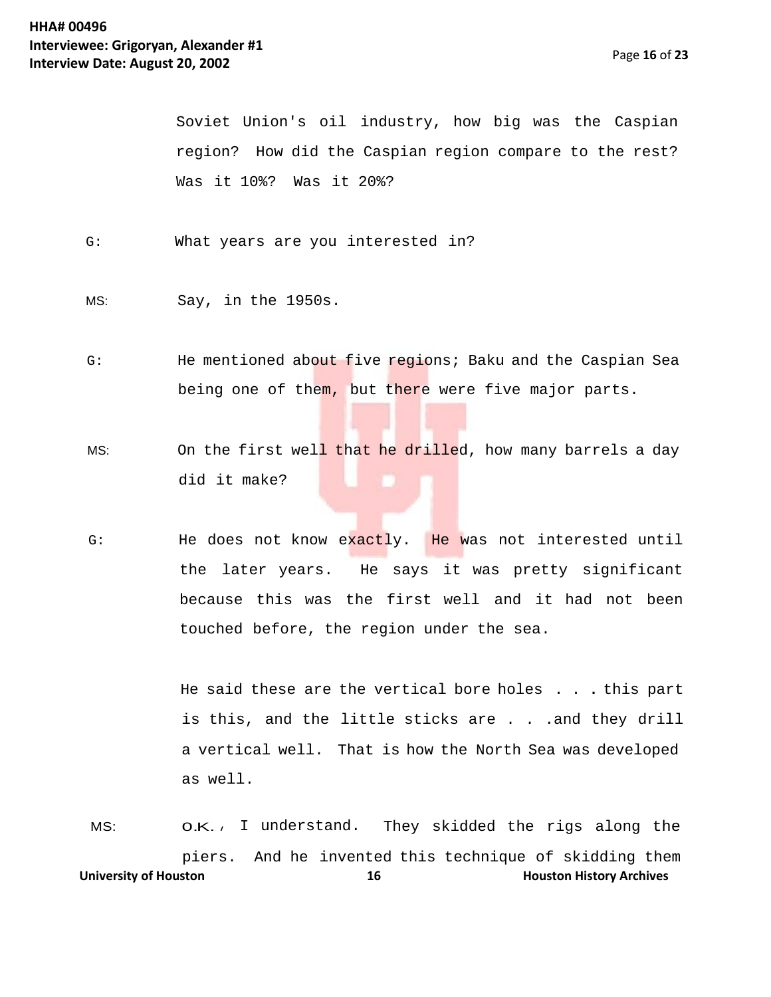Soviet Union's oil industry, how big was the Caspian region? How did the Caspian region compare to the rest? Was it 10%? Was it 20%?

- G: What years are you interested in?
- MS: Say, in the 1950s.
- G: He mentioned about five regions; Baku and the Caspian Sea being one of them, but there were five major parts.
- MS: On the first well that he drilled, how many barrels a day did it make?
- G: He does not know exactly. He was not interested until the later years. He says it was pretty significant because this was the first well and it had not been touched before, the region under the sea.

He said these are the vertical bore holes . . . this part is this, and the little sticks are . . . and they drill a vertical well. That is how the North Sea was developed as well.

**University of Houston 16 Houston 16 Houston History Archives** MS: **O.K.**, I understand. They skidded the rigs along the piers. And he invented this technique of skidding them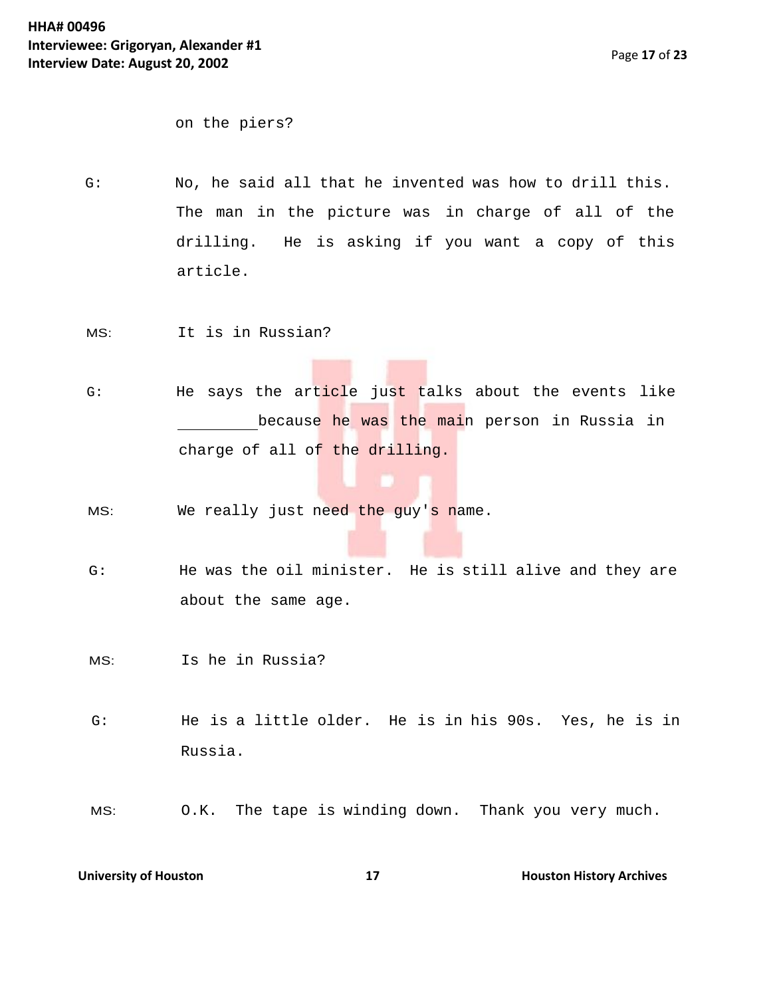on the piers?

- G: No, he said all that he invented was how to drill this. The man in the picture was in charge of all of the drilling. He is asking if you want a copy of this article.
- MS: It is in Russian?
- G: He says the article just talks about the events like because he was the main person in Russia in charge of all of the drilling.
- MS: We really just need the guy's name.
- G: He was the oil minister. He is still alive and they are about the same age.
- MS: Is he in Russia?
- G: He is a little older. He is in his 90s. Yes, he is in Russia.
- MS: O.K. The tape is winding down. Thank you very much.

**University of Houston 17 Houston History Archives 17 Houston History Archives**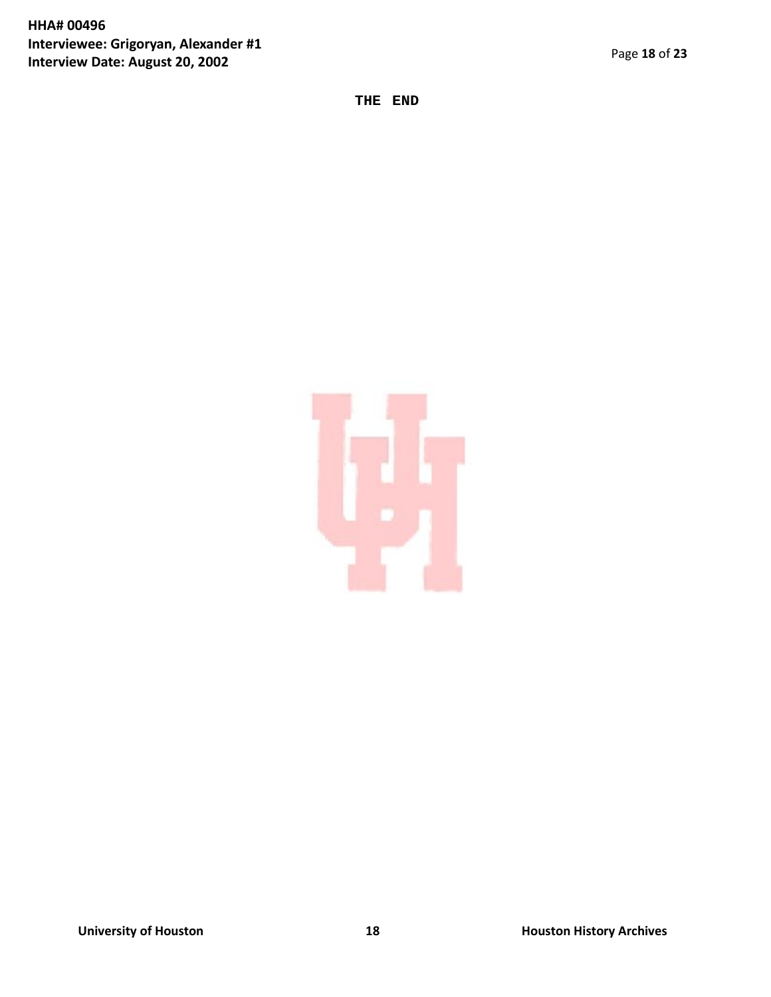## **HHA# 00496 Interviewee: Grigoryan, Alexander #1 Interview Date: August 20, 2002**

**THE END**

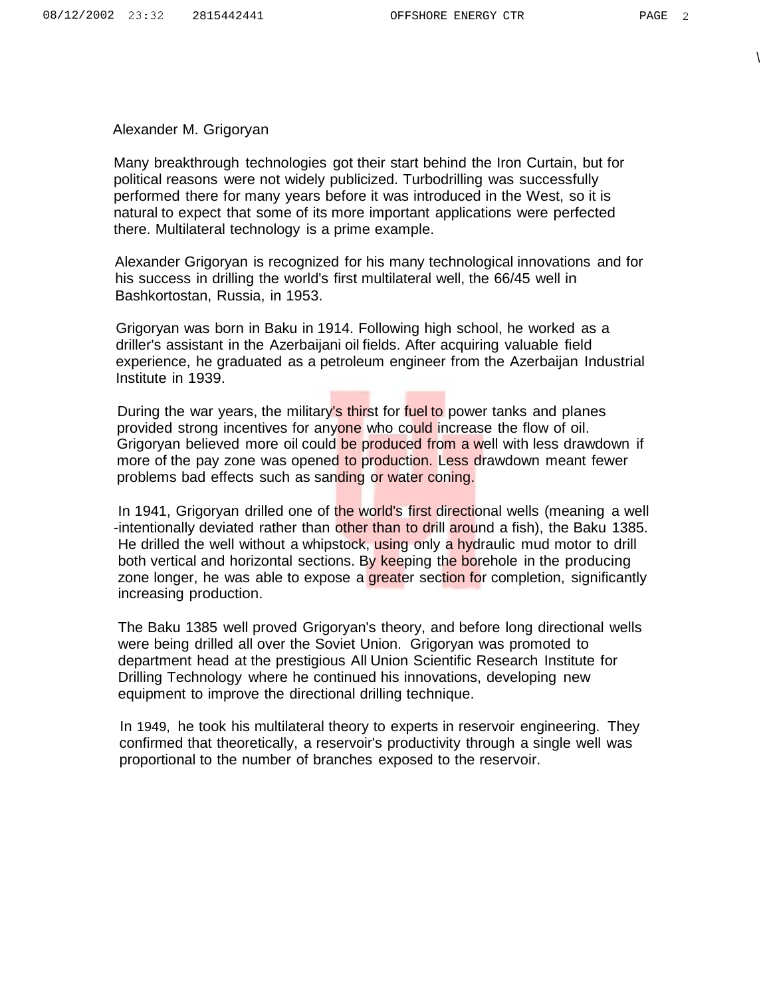$\setminus$ 

Alexander M. Grigoryan

Many breakthrough technologies got their start behind the Iron Curtain, but for political reasons were not widely publicized. Turbodrilling was successfully performed there for many years before it was introduced in the West, so it is natural to expect that some of its more important applications were perfected there. Multilateral technology is a prime example.

Alexander Grigoryan is recognized for his many technological innovations and for his success in drilling the world's first multilateral well, the 66/45 well in Bashkortostan, Russia, in 1953.

Grigoryan was born in Baku in 1914. Following high school, he worked as a driller's assistant in the Azerbaijani oil fields. After acquiring valuable field experience, he graduated as a petroleum engineer from the Azerbaijan Industrial Institute in 1939.

During the war years, the military's thirst for fuel to power tanks and planes provided strong incentives for anyone who could increase the flow of oil. Grigoryan believed more oil could be produced from a well with less drawdown if more of the pay zone was opened to production. Less drawdown meant fewer problems bad effects such as sanding or water coning.

In 1941, Grigoryan drilled one of the world's first directional wells (meaning a well -intentionally deviated rather than other than to drill around a fish), the Baku 1385. He drilled the well without a whipstock, using only a hydraulic mud motor to drill both vertical and horizontal sections. By keeping the borehole in the producing zone longer, he was able to expose a greater section for completion, significantly increasing production.

The Baku 1385 well proved Grigoryan's theory, and before long directional wells were being drilled all over the Soviet Union. Grigoryan was promoted to department head at the prestigious All Union Scientific Research Institute for Drilling Technology where he continued his innovations, developing new equipment to improve the directional drilling technique.

In 1949, he took his multilateral theory to experts in reservoir engineering. They confirmed that theoretically, a reservoir's productivity through a single well was proportional to the number of branches exposed to the reservoir.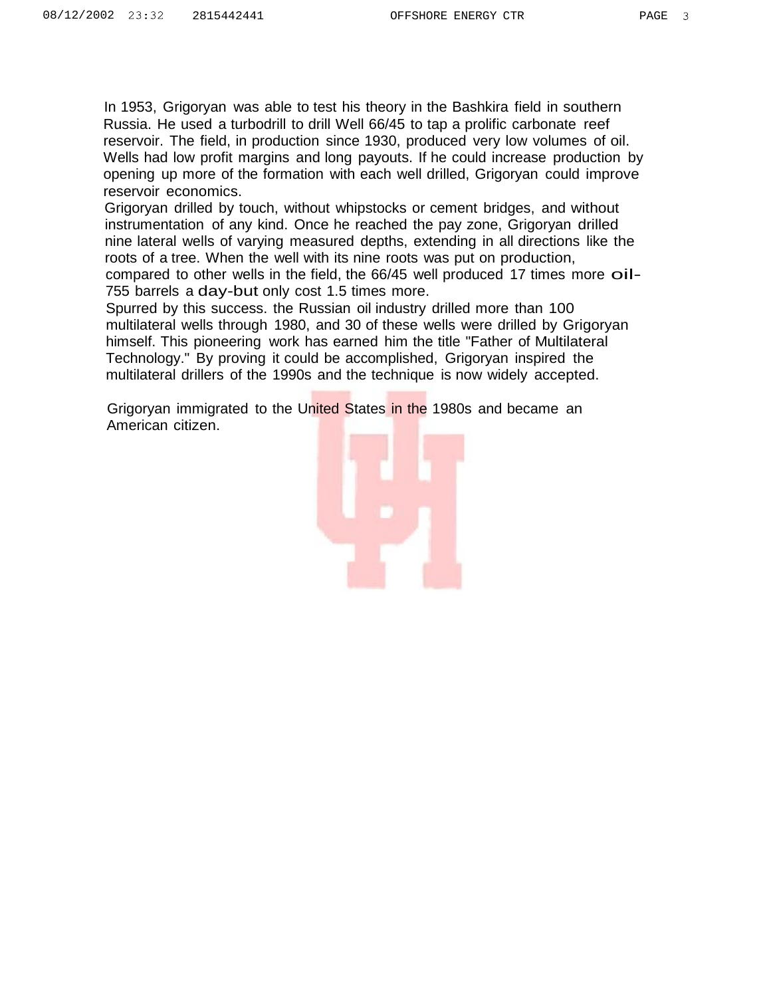In 1953, Grigoryan was able to test his theory in the Bashkira field in southern Russia. He used a turbodrill to drill Well 66/45 to tap a prolific carbonate reef reservoir. The field, in production since 1930, produced very low volumes of oil. Wells had low profit margins and long payouts. If he could increase production by opening up more of the formation with each well drilled, Grigoryan could improve reservoir economics.

Grigoryan drilled by touch, without whipstocks or cement bridges, and without instrumentation of any kind. Once he reached the pay zone, Grigoryan drilled nine lateral wells of varying measured depths, extending in all directions like the roots of a tree. When the well with its nine roots was put on production, compared to other wells in the field, the 66/45 well produced <sup>17</sup> times more oil-755 barrels a day-but only cost 1.5 times more.

Spurred by this success. the Russian oil industry drilled more than 100 multilateral wells through 1980, and 30 of these wells were drilled by Grigoryan himself. This pioneering work has earned him the title "Father of Multilateral Technology." By proving it could be accomplished, Grigoryan inspired the multilateral drillers of the 1990s and the technique is now widely accepted.

Grigoryan immigrated to the United States in the 1980s and became an American citizen.

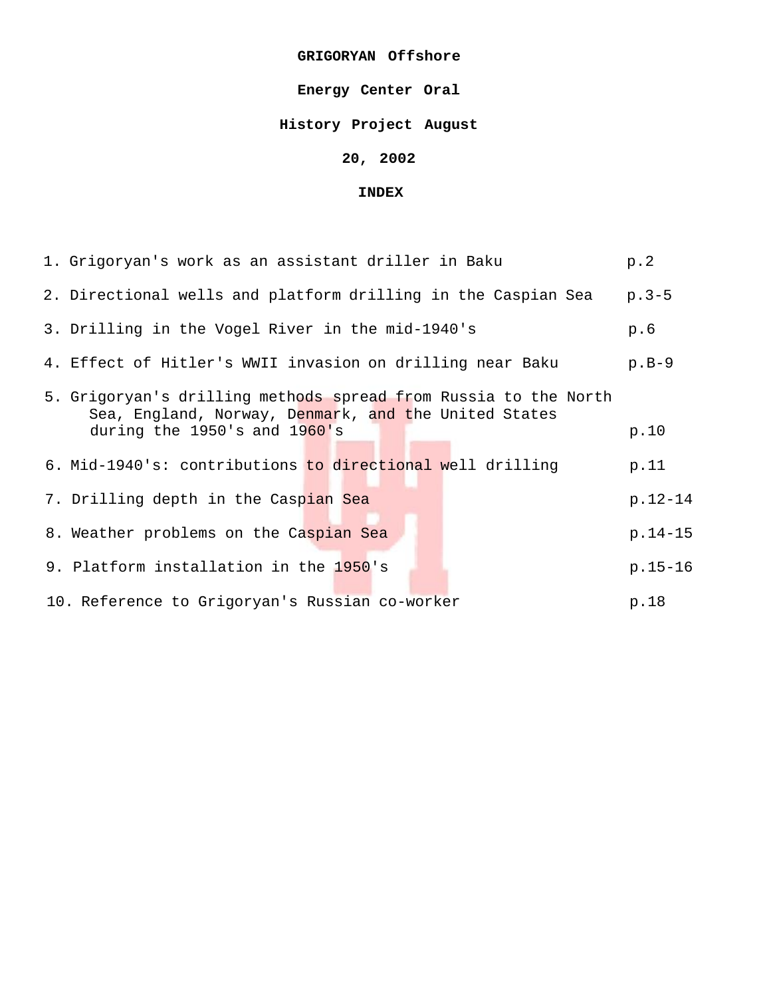#### **GRIGORYAN Offshore**

## **Energy Center Oral**

## **History Project August**

## **20, 2002**

#### **INDEX**

| 1. Grigoryan's work as an assistant driller in Baku                                                                                                        | p.2         |
|------------------------------------------------------------------------------------------------------------------------------------------------------------|-------------|
| 2. Directional wells and platform drilling in the Caspian Sea                                                                                              | $p.3-5$     |
| 3. Drilling in the Vogel River in the mid-1940's                                                                                                           | p.6         |
| 4. Effect of Hitler's WWII invasion on drilling near Baku                                                                                                  | $p.B-9$     |
| 5. Grigoryan's drilling methods spread from Russia to the North<br>Sea, England, Norway, Denmark, and the United States<br>during the 1950's and $1960$ 's | p.10        |
| 6. Mid-1940's: contributions to directional well drilling                                                                                                  | p.11        |
| 7. Drilling depth in the Caspian Sea                                                                                                                       | $p.12 - 14$ |
| 8. Weather problems on the Caspian Sea                                                                                                                     | $p.14-15$   |
| 9. Platform installation in the 1950's                                                                                                                     | $p.15-16$   |
| 10. Reference to Grigoryan's Russian co-worker                                                                                                             | p.18        |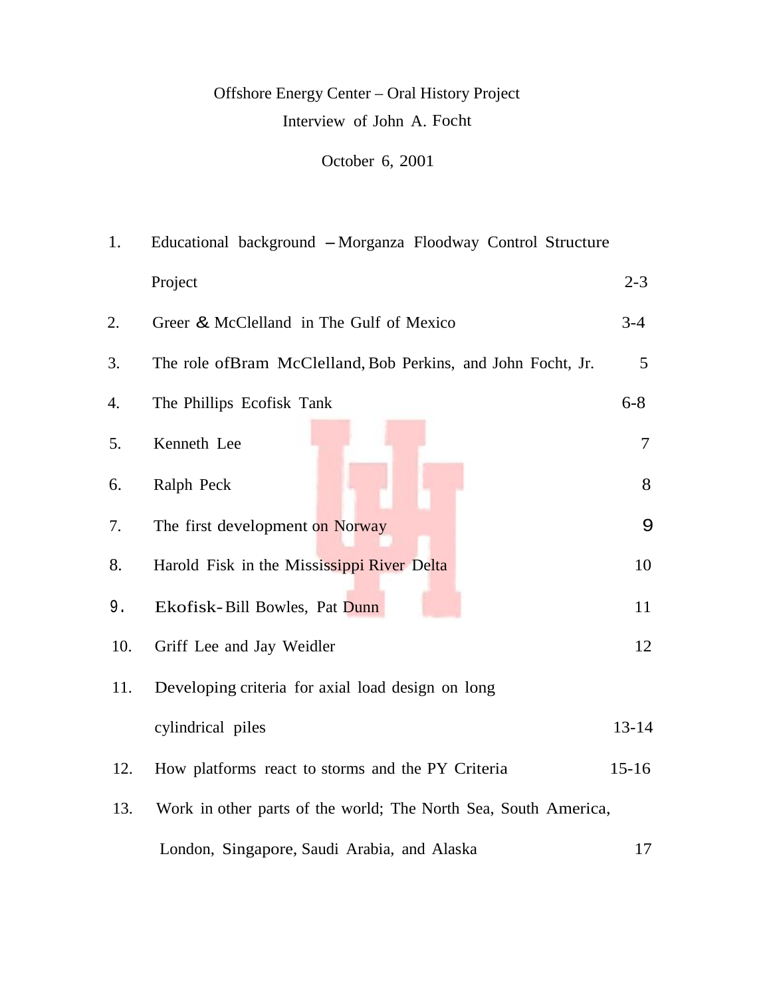# Offshore Energy Center – Oral History Project Interview of John A. Focht

October 6, 2001

| 1.  | Educational background - Morganza Floodway Control Structure    |           |
|-----|-----------------------------------------------------------------|-----------|
|     | Project                                                         | $2 - 3$   |
| 2.  | Greer & McClelland in The Gulf of Mexico                        | $3-4$     |
| 3.  | The role ofBram McClelland, Bob Perkins, and John Focht, Jr.    | 5         |
| 4.  | The Phillips Ecofisk Tank                                       | $6 - 8$   |
| 5.  | Kenneth Lee                                                     | 7         |
| 6.  | Ralph Peck                                                      | 8         |
| 7.  | The first development on Norway                                 | 9         |
| 8.  | Harold Fisk in the Mississippi River Delta                      | 10        |
| 9.  | Ekofisk-Bill Bowles, Pat Dunn                                   | 11        |
| 10. | Griff Lee and Jay Weidler                                       | 12        |
| 11. | Developing criteria for axial load design on long               |           |
|     | cylindrical piles                                               | $13 - 14$ |
| 12. | How platforms react to storms and the PY Criteria               | $15 - 16$ |
| 13. | Work in other parts of the world; The North Sea, South America, |           |
|     | London, Singapore, Saudi Arabia, and Alaska                     | 17        |